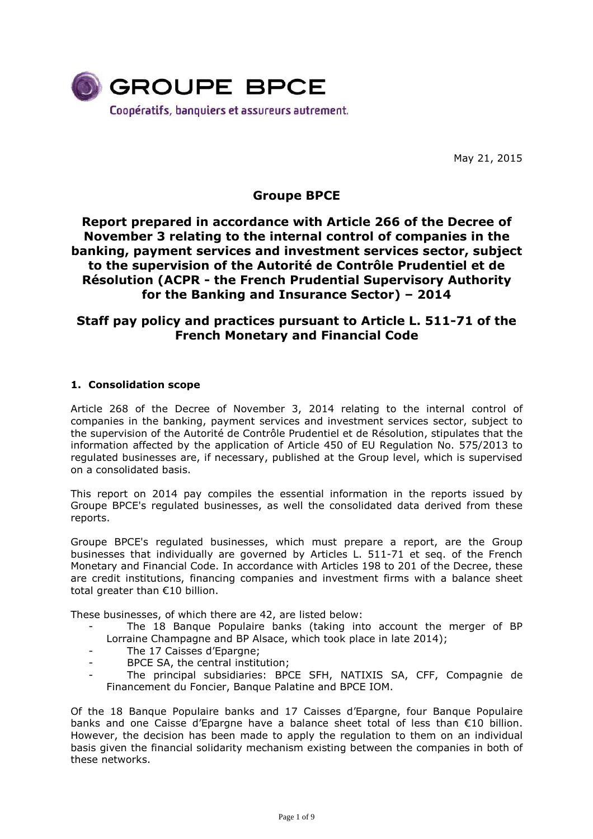

May 21, 2015

# **Groupe BPCE**

# **Report prepared in accordance with Article 266 of the Decree of November 3 relating to the internal control of companies in the banking, payment services and investment services sector, subject to the supervision of the Autorité de Contrôle Prudentiel et de Résolution (ACPR - the French Prudential Supervisory Authority for the Banking and Insurance Sector) – 2014**

# **Staff pay policy and practices pursuant to Article L. 511-71 of the French Monetary and Financial Code**

# **1. Consolidation scope**

Article 268 of the Decree of November 3, 2014 relating to the internal control of companies in the banking, payment services and investment services sector, subject to the supervision of the Autorité de Contrôle Prudentiel et de Résolution, stipulates that the information affected by the application of Article 450 of EU Regulation No. 575/2013 to regulated businesses are, if necessary, published at the Group level, which is supervised on a consolidated basis.

This report on 2014 pay compiles the essential information in the reports issued by Groupe BPCE's regulated businesses, as well the consolidated data derived from these reports.

Groupe BPCE's regulated businesses, which must prepare a report, are the Group businesses that individually are governed by Articles L. 511-71 et seq. of the French Monetary and Financial Code. In accordance with Articles 198 to 201 of the Decree, these are credit institutions, financing companies and investment firms with a balance sheet total greater than €10 billion.

These businesses, of which there are 42, are listed below:

- The 18 Banque Populaire banks (taking into account the merger of BP Lorraine Champagne and BP Alsace, which took place in late 2014);
- The 17 Caisses d'Epargne;
- BPCE SA, the central institution:
- The principal subsidiaries: BPCE SFH, NATIXIS SA, CFF, Compagnie de Financement du Foncier, Banque Palatine and BPCE IOM.

Of the 18 Banque Populaire banks and 17 Caisses d'Epargne, four Banque Populaire banks and one Caisse d'Epargne have a balance sheet total of less than €10 billion. However, the decision has been made to apply the regulation to them on an individual basis given the financial solidarity mechanism existing between the companies in both of these networks.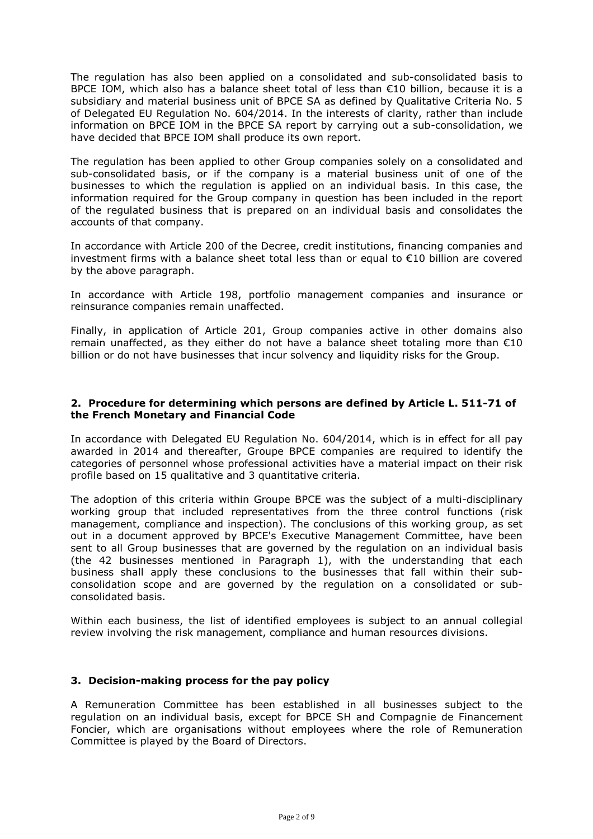The regulation has also been applied on a consolidated and sub-consolidated basis to BPCE IOM, which also has a balance sheet total of less than  $E10$  billion, because it is a subsidiary and material business unit of BPCE SA as defined by Qualitative Criteria No. 5 of Delegated EU Regulation No. 604/2014. In the interests of clarity, rather than include information on BPCE IOM in the BPCE SA report by carrying out a sub-consolidation, we have decided that BPCE IOM shall produce its own report.

The regulation has been applied to other Group companies solely on a consolidated and sub-consolidated basis, or if the company is a material business unit of one of the businesses to which the regulation is applied on an individual basis. In this case, the information required for the Group company in question has been included in the report of the regulated business that is prepared on an individual basis and consolidates the accounts of that company.

In accordance with Article 200 of the Decree, credit institutions, financing companies and investment firms with a balance sheet total less than or equal to €10 billion are covered by the above paragraph.

In accordance with Article 198, portfolio management companies and insurance or reinsurance companies remain unaffected.

Finally, in application of Article 201, Group companies active in other domains also remain unaffected, as they either do not have a balance sheet totaling more than  $\epsilon$ 10 billion or do not have businesses that incur solvency and liquidity risks for the Group.

## **2. Procedure for determining which persons are defined by Article L. 511-71 of the French Monetary and Financial Code**

In accordance with Delegated EU Regulation No. 604/2014, which is in effect for all pay awarded in 2014 and thereafter, Groupe BPCE companies are required to identify the categories of personnel whose professional activities have a material impact on their risk profile based on 15 qualitative and 3 quantitative criteria.

The adoption of this criteria within Groupe BPCE was the subject of a multi-disciplinary working group that included representatives from the three control functions (risk management, compliance and inspection). The conclusions of this working group, as set out in a document approved by BPCE's Executive Management Committee, have been sent to all Group businesses that are governed by the regulation on an individual basis (the 42 businesses mentioned in Paragraph 1), with the understanding that each business shall apply these conclusions to the businesses that fall within their subconsolidation scope and are governed by the regulation on a consolidated or subconsolidated basis.

Within each business, the list of identified employees is subject to an annual collegial review involving the risk management, compliance and human resources divisions.

## **3. Decision-making process for the pay policy**

A Remuneration Committee has been established in all businesses subject to the regulation on an individual basis, except for BPCE SH and Compagnie de Financement Foncier, which are organisations without employees where the role of Remuneration Committee is played by the Board of Directors.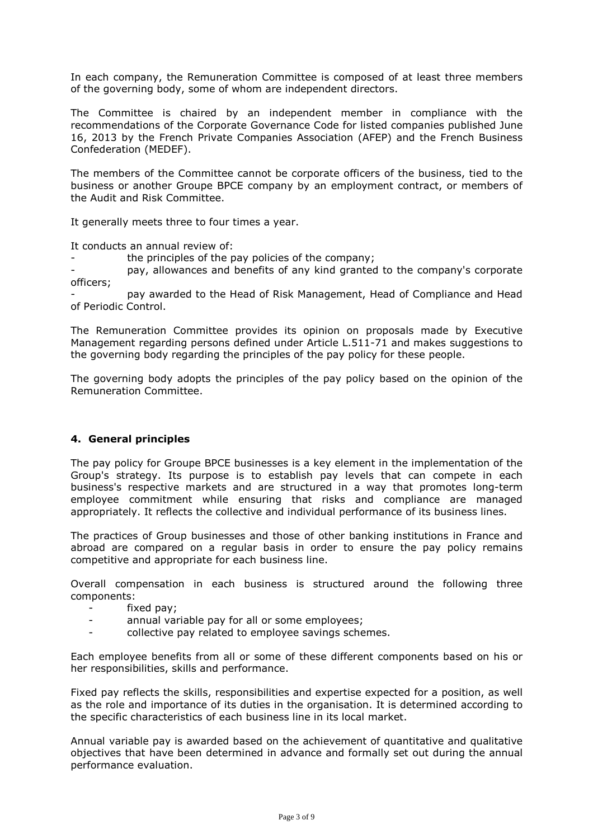In each company, the Remuneration Committee is composed of at least three members of the governing body, some of whom are independent directors.

The Committee is chaired by an independent member in compliance with the recommendations of the Corporate Governance Code for listed companies published June 16, 2013 by the French Private Companies Association (AFEP) and the French Business Confederation (MEDEF).

The members of the Committee cannot be corporate officers of the business, tied to the business or another Groupe BPCE company by an employment contract, or members of the Audit and Risk Committee.

It generally meets three to four times a year.

It conducts an annual review of:

the principles of the pay policies of the company;

- pay, allowances and benefits of any kind granted to the company's corporate officers;

- pay awarded to the Head of Risk Management, Head of Compliance and Head of Periodic Control.

The Remuneration Committee provides its opinion on proposals made by Executive Management regarding persons defined under Article L.511-71 and makes suggestions to the governing body regarding the principles of the pay policy for these people.

The governing body adopts the principles of the pay policy based on the opinion of the Remuneration Committee.

## **4. General principles**

The pay policy for Groupe BPCE businesses is a key element in the implementation of the Group's strategy. Its purpose is to establish pay levels that can compete in each business's respective markets and are structured in a way that promotes long-term employee commitment while ensuring that risks and compliance are managed appropriately. It reflects the collective and individual performance of its business lines.

The practices of Group businesses and those of other banking institutions in France and abroad are compared on a regular basis in order to ensure the pay policy remains competitive and appropriate for each business line.

Overall compensation in each business is structured around the following three components:

- fixed pay;
- annual variable pay for all or some employees;
- collective pay related to employee savings schemes.

Each employee benefits from all or some of these different components based on his or her responsibilities, skills and performance.

Fixed pay reflects the skills, responsibilities and expertise expected for a position, as well as the role and importance of its duties in the organisation. It is determined according to the specific characteristics of each business line in its local market.

Annual variable pay is awarded based on the achievement of quantitative and qualitative objectives that have been determined in advance and formally set out during the annual performance evaluation.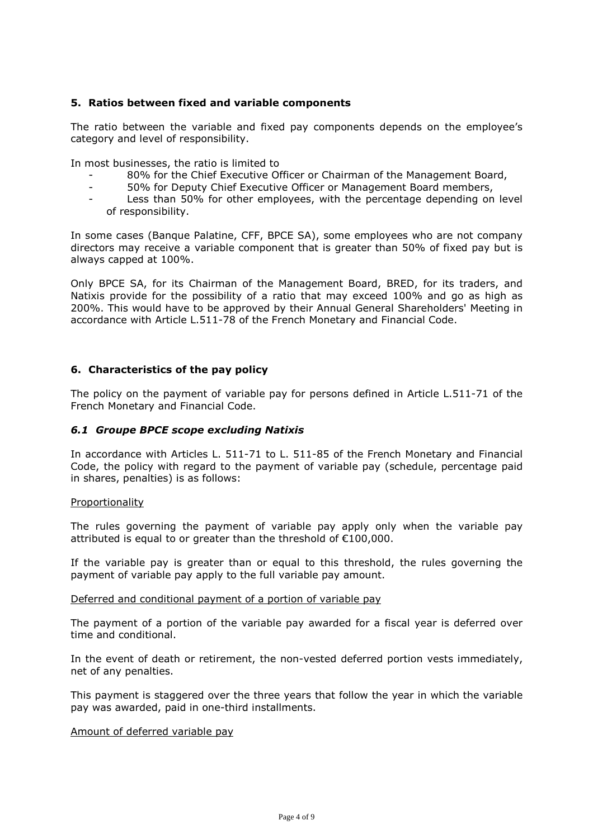## **5. Ratios between fixed and variable components**

The ratio between the variable and fixed pay components depends on the employee's category and level of responsibility.

In most businesses, the ratio is limited to

- 80% for the Chief Executive Officer or Chairman of the Management Board,
- 50% for Deputy Chief Executive Officer or Management Board members,
- Less than 50% for other employees, with the percentage depending on level of responsibility.

In some cases (Banque Palatine, CFF, BPCE SA), some employees who are not company directors may receive a variable component that is greater than 50% of fixed pay but is always capped at 100%.

Only BPCE SA, for its Chairman of the Management Board, BRED, for its traders, and Natixis provide for the possibility of a ratio that may exceed 100% and go as high as 200%. This would have to be approved by their Annual General Shareholders' Meeting in accordance with Article L.511-78 of the French Monetary and Financial Code.

## **6. Characteristics of the pay policy**

The policy on the payment of variable pay for persons defined in Article L.511-71 of the French Monetary and Financial Code.

## *6.1 Groupe BPCE scope excluding Natixis*

In accordance with Articles L. 511-71 to L. 511-85 of the French Monetary and Financial Code, the policy with regard to the payment of variable pay (schedule, percentage paid in shares, penalties) is as follows:

## Proportionality

The rules governing the payment of variable pay apply only when the variable pay attributed is equal to or greater than the threshold of €100,000.

If the variable pay is greater than or equal to this threshold, the rules governing the payment of variable pay apply to the full variable pay amount.

#### Deferred and conditional payment of a portion of variable pay

The payment of a portion of the variable pay awarded for a fiscal year is deferred over time and conditional.

In the event of death or retirement, the non-vested deferred portion vests immediately, net of any penalties.

This payment is staggered over the three years that follow the year in which the variable pay was awarded, paid in one-third installments.

## Amount of deferred variable pay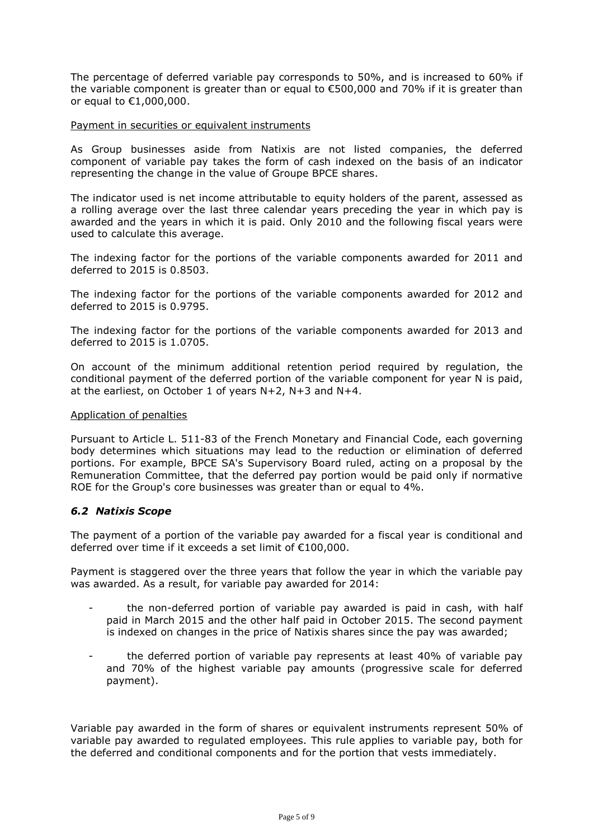The percentage of deferred variable pay corresponds to 50%, and is increased to 60% if the variable component is greater than or equal to €500,000 and 70% if it is greater than or equal to €1,000,000.

#### Payment in securities or equivalent instruments

As Group businesses aside from Natixis are not listed companies, the deferred component of variable pay takes the form of cash indexed on the basis of an indicator representing the change in the value of Groupe BPCE shares.

The indicator used is net income attributable to equity holders of the parent, assessed as a rolling average over the last three calendar years preceding the year in which pay is awarded and the years in which it is paid. Only 2010 and the following fiscal years were used to calculate this average.

The indexing factor for the portions of the variable components awarded for 2011 and deferred to 2015 is 0.8503.

The indexing factor for the portions of the variable components awarded for 2012 and deferred to 2015 is 0.9795.

The indexing factor for the portions of the variable components awarded for 2013 and deferred to 2015 is 1.0705.

On account of the minimum additional retention period required by regulation, the conditional payment of the deferred portion of the variable component for year N is paid, at the earliest, on October 1 of years N+2, N+3 and N+4.

#### Application of penalties

Pursuant to Article L. 511-83 of the French Monetary and Financial Code, each governing body determines which situations may lead to the reduction or elimination of deferred portions. For example, BPCE SA's Supervisory Board ruled, acting on a proposal by the Remuneration Committee, that the deferred pay portion would be paid only if normative ROE for the Group's core businesses was greater than or equal to 4%.

## *6.2 Natixis Scope*

The payment of a portion of the variable pay awarded for a fiscal year is conditional and deferred over time if it exceeds a set limit of €100,000.

Payment is staggered over the three years that follow the year in which the variable pay was awarded. As a result, for variable pay awarded for 2014:

- the non-deferred portion of variable pay awarded is paid in cash, with half paid in March 2015 and the other half paid in October 2015. The second payment is indexed on changes in the price of Natixis shares since the pay was awarded;
- the deferred portion of variable pay represents at least 40% of variable pay and 70% of the highest variable pay amounts (progressive scale for deferred payment).

Variable pay awarded in the form of shares or equivalent instruments represent 50% of variable pay awarded to regulated employees. This rule applies to variable pay, both for the deferred and conditional components and for the portion that vests immediately.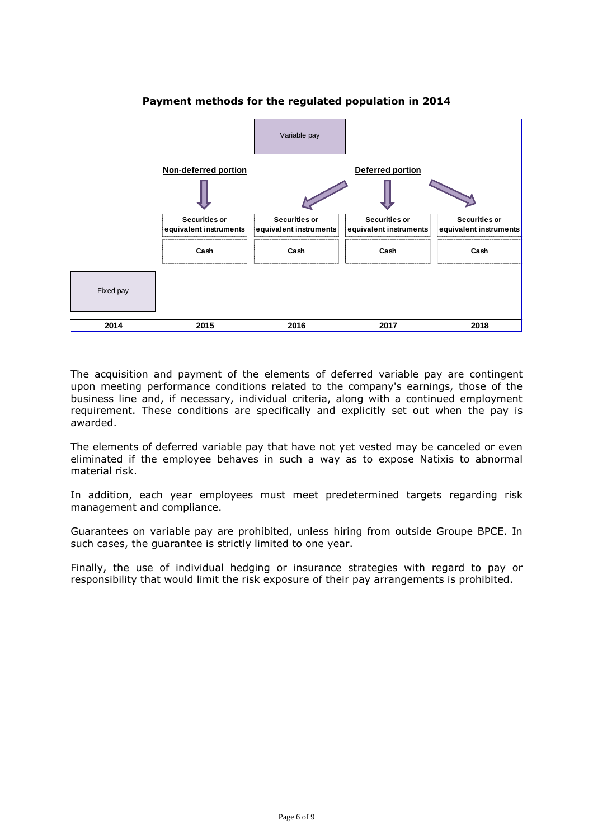

# **Payment methods for the regulated population in 2014**

The acquisition and payment of the elements of deferred variable pay are contingent upon meeting performance conditions related to the company's earnings, those of the business line and, if necessary, individual criteria, along with a continued employment requirement. These conditions are specifically and explicitly set out when the pay is awarded.

The elements of deferred variable pay that have not yet vested may be canceled or even eliminated if the employee behaves in such a way as to expose Natixis to abnormal material risk.

In addition, each year employees must meet predetermined targets regarding risk management and compliance.

Guarantees on variable pay are prohibited, unless hiring from outside Groupe BPCE. In such cases, the guarantee is strictly limited to one year.

Finally, the use of individual hedging or insurance strategies with regard to pay or responsibility that would limit the risk exposure of their pay arrangements is prohibited.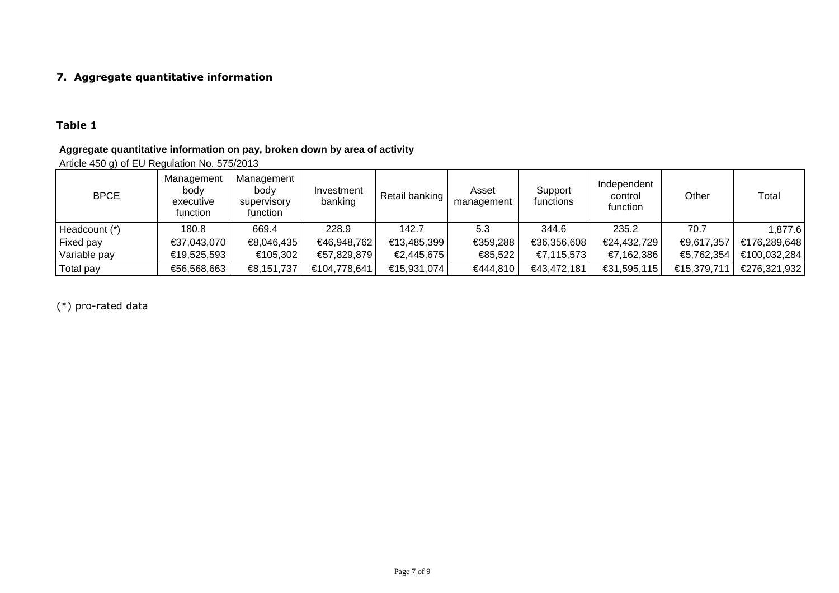# **7. Aggregate quantitative information**

# **Table 1**

# **Aggregate quantitative information on pay, broken down by area of activity**

Article 450 g) of EU Regulation No. 575/2013

| <b>BPCE</b>   | Management<br>body<br>executive<br>function | Management<br>body<br>supervisory<br>function | Investment<br>banking | Retail banking | Asset<br>management | Support<br>functions | Independent<br>control<br>function | Other       | Total        |
|---------------|---------------------------------------------|-----------------------------------------------|-----------------------|----------------|---------------------|----------------------|------------------------------------|-------------|--------------|
| Headcount (*) | 180.8                                       | 669.4                                         | 228.9                 | 142.7          | 5.3                 | 344.6                | 235.2                              | 70.7        | 1,877.6      |
| Fixed pay     | €37,043,070                                 | €8,046,435                                    | €46,948,762           | €13,485,399    | €359,288            | €36,356,608          | €24,432,729                        | €9,617,357  | €176,289,648 |
| Variable pay  | €19,525,593                                 | €105,302                                      | €57,829,879           | €2,445,675     | €85,522             | €7,115,573           | €7,162,386                         | €5,762,354  | €100,032,284 |
| Total pay     | €56,568,663                                 | €8,151,737                                    | €104,778,641          | €15,931,074    | €444,810            | €43,472,181          | €31,595,115                        | €15,379,711 | €276,321,932 |

(\*) pro-rated data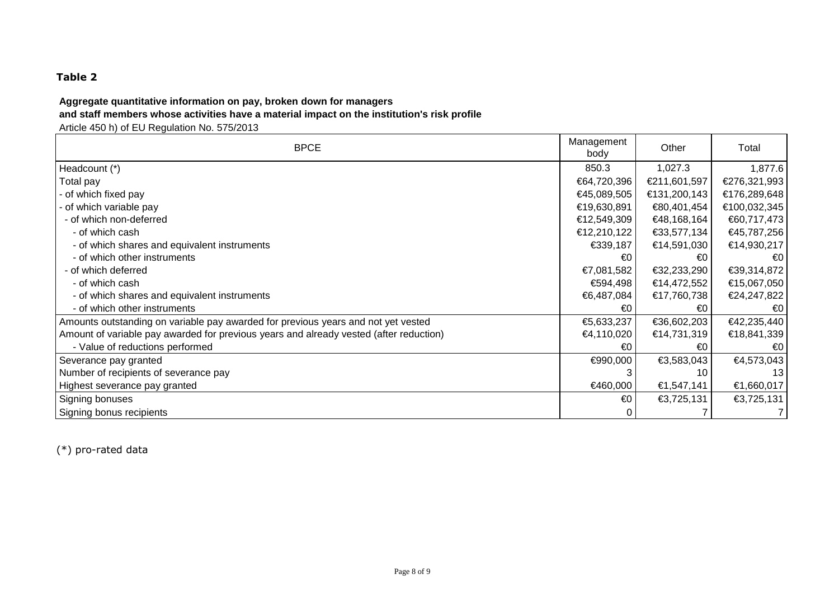# **Table 2**

# **Aggregate quantitative information on pay, broken down for managers**

# **and staff members whose activities have a material impact on the institution's risk profile**

Article 450 h) of EU Regulation No. 575/2013

| <b>BPCE</b>                                                                            | Management<br>body | Other        | Total          |
|----------------------------------------------------------------------------------------|--------------------|--------------|----------------|
| Headcount (*)                                                                          | 850.3              | 1,027.3      | 1,877.6        |
| Total pay                                                                              | €64,720,396        | €211,601,597 | €276,321,993   |
| - of which fixed pay                                                                   | €45,089,505        | €131,200,143 | €176,289,648   |
| - of which variable pay                                                                | €19,630,891        | €80,401,454  | €100,032,345   |
| - of which non-deferred                                                                | €12,549,309        | €48,168,164  | €60,717,473    |
| - of which cash                                                                        | €12,210,122        | €33,577,134  | €45,787,256    |
| - of which shares and equivalent instruments                                           | €339,187           | €14,591,030  | €14,930,217    |
| - of which other instruments                                                           | €0                 | €0           | €0             |
| - of which deferred                                                                    | €7,081,582         | €32,233,290  | €39,314,872    |
| - of which cash                                                                        | €594,498           | €14,472,552  | €15,067,050    |
| - of which shares and equivalent instruments                                           | €6,487,084         | €17,760,738  | €24,247,822    |
| - of which other instruments                                                           | €0                 | €0           | €0             |
| Amounts outstanding on variable pay awarded for previous years and not yet vested      | €5,633,237         | €36,602,203  | €42,235,440    |
| Amount of variable pay awarded for previous years and already vested (after reduction) |                    | €14,731,319  | €18,841,339    |
| - Value of reductions performed                                                        | €0                 | €0           | €0             |
| Severance pay granted                                                                  | €990,000           | €3,583,043   | €4,573,043     |
| Number of recipients of severance pay                                                  |                    | 10           | 13             |
| Highest severance pay granted                                                          | €460,000           | €1,547,141   | €1,660,017     |
| Signing bonuses                                                                        | €0                 | €3,725,131   | €3,725,131     |
| Signing bonus recipients                                                               |                    |              | $\overline{7}$ |

(\*) pro-rated data